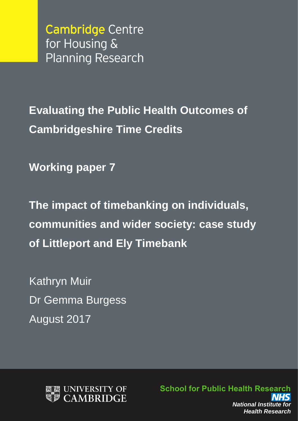**Cambridge Centre** for Housing & **Planning Research** 

**Evaluating the Public Health Outcomes of Cambridgeshire Time Credits** 

**Working paper 7**

**The impact of timebanking on individuals, communities and wider society: case study of Littleport and Ely Timebank**

Kathryn Muir Dr Gemma Burgess August 2017



**School for Public Health Research** *National Institute for Health Research*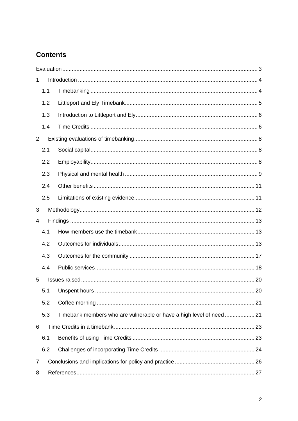# **Contents**

| 1              |     |  |                                                                     |  |
|----------------|-----|--|---------------------------------------------------------------------|--|
|                | 1.1 |  |                                                                     |  |
|                | 1.2 |  |                                                                     |  |
|                | 1.3 |  |                                                                     |  |
|                | 1.4 |  |                                                                     |  |
| 2              |     |  |                                                                     |  |
|                | 2.1 |  |                                                                     |  |
|                | 2.2 |  |                                                                     |  |
|                | 2.3 |  |                                                                     |  |
|                | 2.4 |  |                                                                     |  |
|                | 2.5 |  |                                                                     |  |
| 3              |     |  |                                                                     |  |
| 4              |     |  |                                                                     |  |
|                | 4.1 |  |                                                                     |  |
|                | 4.2 |  |                                                                     |  |
|                | 4.3 |  |                                                                     |  |
|                | 4.4 |  |                                                                     |  |
| 5              |     |  |                                                                     |  |
|                | 5.1 |  |                                                                     |  |
|                | 5.2 |  |                                                                     |  |
|                | 5.3 |  | Timebank members who are vulnerable or have a high level of need 21 |  |
| 6              |     |  |                                                                     |  |
|                | 6.1 |  |                                                                     |  |
|                | 6.2 |  |                                                                     |  |
| $\overline{7}$ |     |  |                                                                     |  |
| 8              |     |  |                                                                     |  |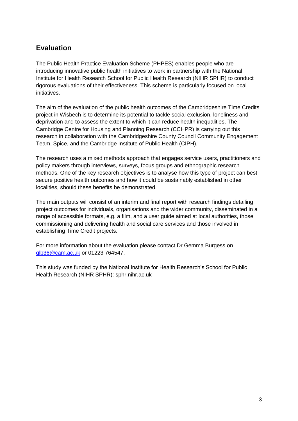## <span id="page-2-0"></span>**Evaluation**

The Public Health Practice Evaluation Scheme (PHPES) enables people who are introducing innovative public health initiatives to work in partnership with the National Institute for Health Research School for Public Health Research (NIHR SPHR) to conduct rigorous evaluations of their effectiveness. This scheme is particularly focused on local initiatives.

The aim of the evaluation of the public health outcomes of the Cambridgeshire Time Credits project in Wisbech is to determine its potential to tackle social exclusion, loneliness and deprivation and to assess the extent to which it can reduce health inequalities. The Cambridge Centre for Housing and Planning Research (CCHPR) is carrying out this research in collaboration with the Cambridgeshire County Council Community Engagement Team, Spice, and the Cambridge Institute of Public Health (CIPH).

The research uses a mixed methods approach that engages service users, practitioners and policy makers through interviews, surveys, focus groups and ethnographic research methods. One of the key research objectives is to analyse how this type of project can best secure positive health outcomes and how it could be sustainably established in other localities, should these benefits be demonstrated.

The main outputs will consist of an interim and final report with research findings detailing project outcomes for individuals, organisations and the wider community, disseminated in a range of accessible formats, e.g. a film, and a user guide aimed at local authorities, those commissioning and delivering health and social care services and those involved in establishing Time Credit projects.

For more information about the evaluation please contact Dr Gemma Burgess on [glb36@cam.ac.uk](mailto:glb36@cam.ac.uk) or 01223 764547.

This study was funded by the National Institute for Health Research's School for Public Health Research (NIHR SPHR): sphr.nihr.ac.uk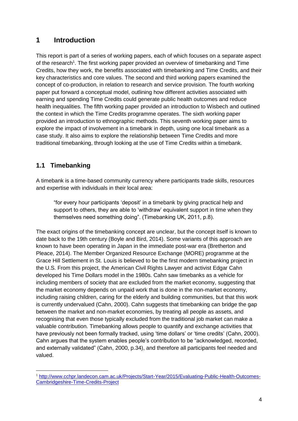## <span id="page-3-0"></span>**1 Introduction**

This report is part of a series of working papers, each of which focuses on a separate aspect of the research<sup>1</sup>. The first working paper provided an overview of timebanking and Time Credits, how they work, the benefits associated with timebanking and Time Credits, and their key characteristics and core values. The second and third working papers examined the concept of co-production, in relation to research and service provision. The fourth working paper put forward a conceptual model, outlining how different activities associated with earning and spending Time Credits could generate public health outcomes and reduce health inequalities. The fifth working paper provided an introduction to Wisbech and outlined the context in which the Time Credits programme operates. The sixth working paper provided an introduction to ethnographic methods. This seventh working paper aims to explore the impact of involvement in a timebank in depth, using one local timebank as a case study. It also aims to explore the relationship between Time Credits and more traditional timebanking, through looking at the use of Time Credits within a timebank.

### <span id="page-3-1"></span>**1.1 Timebanking**

<u>.</u>

A timebank is a time-based community currency where participants trade skills, resources and expertise with individuals in their local area:

"for every hour participants 'deposit' in a timebank by giving practical help and support to others, they are able to 'withdraw' equivalent support in time when they themselves need something doing". (Timebanking UK, 2011, p.8).

The exact origins of the timebanking concept are unclear, but the concept itself is known to date back to the 19th century (Boyle and Bird, 2014). Some variants of this approach are known to have been operating in Japan in the immediate post-war era (Bretherton and Pleace, 2014). The Member Organized Resource Exchange (MORE) programme at the Grace Hill Settlement in St. Louis is believed to be the first modern timebanking project in the U.S. From this project, the American Civil Rights Lawyer and activist Edgar Cahn developed his Time Dollars model in the 1980s. Cahn saw timebanks as a vehicle for including members of society that are excluded from the market economy, suggesting that the market economy depends on unpaid work that is done in the non-market economy, including raising children, caring for the elderly and building communities, but that this work is currently undervalued (Cahn, 2000). Cahn suggests that timebanking can bridge the gap between the market and non-market economies, by treating all people as assets, and recognising that even those typically excluded from the traditional job market can make a valuable contribution. Timebanking allows people to quantify and exchange activities that have previously not been formally tracked, using 'time dollars' or 'time credits' (Cahn, 2000). Cahn argues that the system enables people's contribution to be "acknowledged, recorded, and externally validated" (Cahn, 2000, p.34), and therefore all participants feel needed and valued.

<sup>1</sup> [http://www.cchpr.landecon.cam.ac.uk/Projects/Start-Year/2015/Evaluating-Public-Health-Outcomes-](http://www.cchpr.landecon.cam.ac.uk/Projects/Start-Year/2015/Evaluating-Public-Health-Outcomes-Cambridgeshire-Time-Credits-Project)[Cambridgeshire-Time-Credits-Project](http://www.cchpr.landecon.cam.ac.uk/Projects/Start-Year/2015/Evaluating-Public-Health-Outcomes-Cambridgeshire-Time-Credits-Project)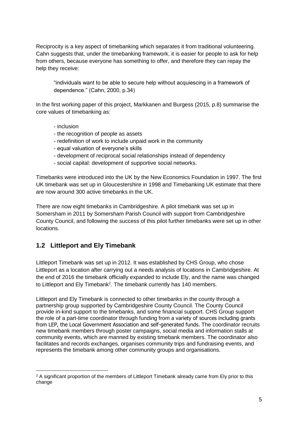Reciprocity is a key aspect of timebanking which separates it from traditional volunteering. Cahn suggests that, under the timebanking framework, it is easier for people to ask for help from others, because everyone has something to offer, and therefore they can repay the help they receive:

"individuals want to be able to secure help without acquiescing in a framework of dependence." (Cahn, 2000, p.34)

In the first working paper of this project, Markkanen and Burgess (2015, p.8) summarise the core values of timebanking as:

- inclusion
- the recognition of people as assets
- redefinition of work to include unpaid work in the community
- equal valuation of everyone's skills
- development of reciprocal social relationships instead of dependency
- social capital: development of supportive social networks.

Timebanks were introduced into the UK by the New Economics Foundation in 1997. The first UK timebank was set up in Gloucestershire in 1998 and Timebanking UK estimate that there are now around 300 active timebanks in the UK.

There are now eight timebanks in Cambridgeshire. A pilot timebank was set up in Somersham in 2011 by Somersham Parish Council with support from Cambridgeshire County Council, and following the success of this pilot further timebanks were set up in other locations.

### <span id="page-4-0"></span>**1.2 Littleport and Ely Timebank**

<u>.</u>

Littleport Timebank was set up in 2012. It was established by CHS Group, who chose Littleport as a location after carrying out a needs analysis of locations in Cambridgeshire. At the end of 2016 the timebank officially expanded to include Ely, and the name was changed to Littleport and Ely Timebank<sup>2</sup>. The timebank currently has 140 members.

Littleport and Ely Timebank is connected to other timebanks in the county through a partnership group supported by Cambridgeshire County Council. The County Council provide in-kind support to the timebanks, and some financial support. CHS Group support the role of a part-time coordinator through funding from a variety of sources including grants from LEP, the Local Government Association and self-generated funds. The coordinator recruits new timebank members through poster campaigns, social media and information stalls at community events, which are manned by existing timebank members. The coordinator also facilitates and records exchanges, organises community trips and fundraising events, and represents the timebank among other community groups and organisations.

<sup>&</sup>lt;sup>2</sup> A significant proportion of the members of Littleport Timebank already came from Ely prior to this change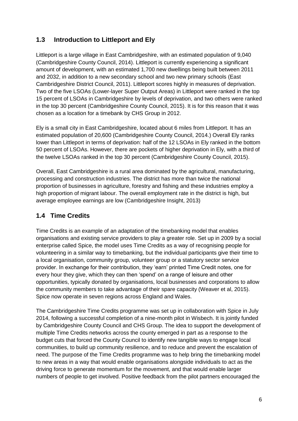## <span id="page-5-0"></span>**1.3 Introduction to Littleport and Ely**

Littleport is a large village in East Cambridgeshire, with an estimated population of 9,040 (Cambridgeshire County Council, 2014). Littleport is currently experiencing a significant amount of development, with an estimated 1,700 new dwellings being built between 2011 and 2032, in addition to a new secondary school and two new primary schools (East Cambridgeshire District Council, 2011). Littleport scores highly in measures of deprivation. Two of the five LSOAs (Lower-layer Super Output Areas) in Littleport were ranked in the top 15 percent of LSOAs in Cambridgeshire by levels of deprivation, and two others were ranked in the top 30 percent (Cambridgeshire County Council, 2015). It is for this reason that it was chosen as a location for a timebank by CHS Group in 2012.

Ely is a small city in East Cambridgeshire, located about 6 miles from Littleport. It has an estimated population of 20,600 (Cambridgeshire County Council, 2014.) Overall Ely ranks lower than Littleport in terms of deprivation: half of the 12 LSOAs in Ely ranked in the bottom 50 percent of LSOAs. However, there are pockets of higher deprivation in Ely, with a third of the twelve LSOAs ranked in the top 30 percent (Cambridgeshire County Council, 2015).

Overall, East Cambridgeshire is a rural area dominated by the agricultural, manufacturing, processing and construction industries. The district has more than twice the national proportion of businesses in agriculture, forestry and fishing and these industries employ a high proportion of migrant labour. The overall employment rate in the district is high, but average employee earnings are low (Cambridgeshire Insight, 2013)

### <span id="page-5-1"></span>**1.4 Time Credits**

Time Credits is an example of an adaptation of the timebanking model that enables organisations and existing service providers to play a greater role. Set up in 2009 by a social enterprise called Spice, the model uses Time Credits as a way of recognising people for volunteering in a similar way to timebanking, but the individual participants give their time to a local organisation, community group, volunteer group or a statutory sector service provider. In exchange for their contribution, they 'earn' printed Time Credit notes, one for every hour they give, which they can then 'spend' on a range of leisure and other opportunities, typically donated by organisations, local businesses and corporations to allow the community members to take advantage of their spare capacity (Weaver et al, 2015). Spice now operate in seven regions across England and Wales.

The Cambridgeshire Time Credits programme was set up in collaboration with Spice in July 2014, following a successful completion of a nine-month pilot in Wisbech. It is jointly funded by Cambridgeshire County Council and CHS Group. The idea to support the development of multiple Time Credits networks across the county emerged in part as a response to the budget cuts that forced the County Council to identify new tangible ways to engage local communities, to build up community resilience, and to reduce and prevent the escalation of need. The purpose of the Time Credits programme was to help bring the timebanking model to new areas in a way that would enable organisations alongside individuals to act as the driving force to generate momentum for the movement, and that would enable larger numbers of people to get involved. Positive feedback from the pilot partners encouraged the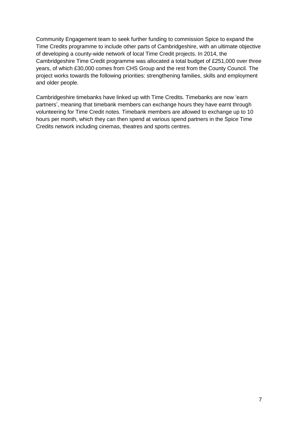Community Engagement team to seek further funding to commission Spice to expand the Time Credits programme to include other parts of Cambridgeshire, with an ultimate objective of developing a county-wide network of local Time Credit projects. In 2014, the Cambridgeshire Time Credit programme was allocated a total budget of £251,000 over three years, of which £30,000 comes from CHS Group and the rest from the County Council. The project works towards the following priorities: strengthening families, skills and employment and older people.

Cambridgeshire timebanks have linked up with Time Credits. Timebanks are now 'earn partners', meaning that timebank members can exchange hours they have earnt through volunteering for Time Credit notes. Timebank members are allowed to exchange up to 10 hours per month, which they can then spend at various spend partners in the Spice Time Credits network including cinemas, theatres and sports centres.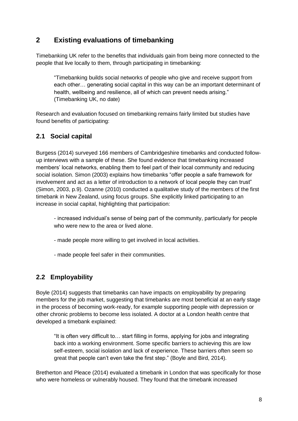## <span id="page-7-0"></span>**2 Existing evaluations of timebanking**

Timebanking UK refer to the benefits that individuals gain from being more connected to the people that live locally to them, through participating in timebanking:

"Timebanking builds social networks of people who give and receive support from each other… generating social capital in this way can be an important determinant of health, wellbeing and resilience, all of which can prevent needs arising." (Timebanking UK, no date)

Research and evaluation focused on timebanking remains fairly limited but studies have found benefits of participating:

### <span id="page-7-1"></span>**2.1 Social capital**

Burgess (2014) surveyed 166 members of Cambridgeshire timebanks and conducted followup interviews with a sample of these. She found evidence that timebanking increased members' local networks, enabling them to feel part of their local community and reducing social isolation. Simon (2003) explains how timebanks "offer people a safe framework for involvement and act as a letter of introduction to a network of local people they can trust" (Simon, 2003, p.9). Ozanne (2010) conducted a qualitative study of the members of the first timebank in New Zealand, using focus groups. She explicitly linked participating to an increase in social capital, highlighting that participation:

- increased individual's sense of being part of the community, particularly for people who were new to the area or lived alone.

- made people more willing to get involved in local activities.
- made people feel safer in their communities.

### <span id="page-7-2"></span>**2.2 Employability**

Boyle (2014) suggests that timebanks can have impacts on employability by preparing members for the job market, suggesting that timebanks are most beneficial at an early stage in the process of becoming work-ready, for example supporting people with depression or other chronic problems to become less isolated. A doctor at a London health centre that developed a timebank explained:

"It is often very difficult to… start filling in forms, applying for jobs and integrating back into a working environment. Some specific barriers to achieving this are low self-esteem, social isolation and lack of experience. These barriers often seem so great that people can't even take the first step." (Boyle and Bird, 2014).

Bretherton and Pleace (2014) evaluated a timebank in London that was specifically for those who were homeless or vulnerably housed. They found that the timebank increased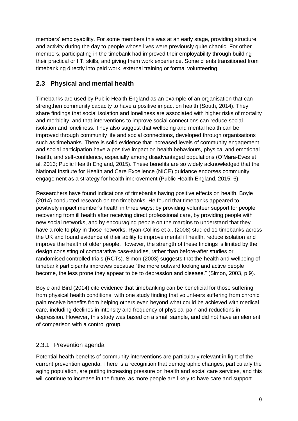members' employability. For some members this was at an early stage, providing structure and activity during the day to people whose lives were previously quite chaotic. For other members, participating in the timebank had improved their employability through building their practical or I.T. skills, and giving them work experience. Some clients transitioned from timebanking directly into paid work, external training or formal volunteering.

## <span id="page-8-0"></span>**2.3 Physical and mental health**

Timebanks are used by Public Health England as an example of an organisation that can strengthen community capacity to have a positive impact on health (South, 2014). They share findings that social isolation and loneliness are associated with higher risks of mortality and morbidity, and that interventions to improve social connections can reduce social isolation and loneliness. They also suggest that wellbeing and mental health can be improved through community life and social connections, developed through organisations such as timebanks. There is solid evidence that increased levels of community engagement and social participation have a positive impact on health behaviours, physical and emotional health, and self-confidence, especially among disadvantaged populations (O'Mara-Eves et al, 2013; Public Health England, 2015). These benefits are so widely acknowledged that the National Institute for Health and Care Excellence (NICE) guidance endorses community engagement as a strategy for health improvement (Public Health England, 2015: 6).

Researchers have found indications of timebanks having positive effects on health. Boyle (2014) conducted research on ten timebanks. He found that timebanks appeared to positively impact member's health in three ways: by providing volunteer support for people recovering from ill health after receiving direct professional care, by providing people with new social networks, and by encouraging people on the margins to understand that they have a role to play in those networks. Ryan-Collins et al. (2008) studied 11 timebanks across the UK and found evidence of their ability to improve mental ill health, reduce isolation and improve the health of older people. However, the strength of these findings is limited by the design consisting of comparative case-studies, rather than before-after studies or randomised controlled trials (RCTs). Simon (2003) suggests that the health and wellbeing of timebank participants improves because "the more outward looking and active people become, the less prone they appear to be to depression and disease." (Simon, 2003, p.9).

Boyle and Bird (2014) cite evidence that timebanking can be beneficial for those suffering from physical health conditions, with one study finding that volunteers suffering from chronic pain receive benefits from helping others even beyond what could be achieved with medical care, including declines in intensity and frequency of physical pain and reductions in depression. However, this study was based on a small sample, and did not have an element of comparison with a control group.

#### 2.3.1 Prevention agenda

Potential health benefits of community interventions are particularly relevant in light of the current prevention agenda. There is a recognition that demographic changes, particularly the aging population, are putting increasing pressure on health and social care services, and this will continue to increase in the future, as more people are likely to have care and support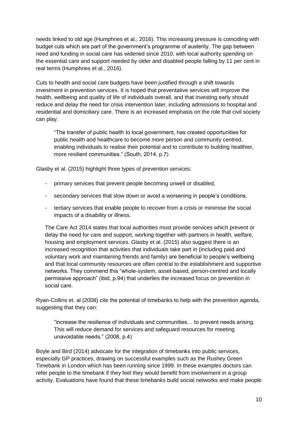needs linked to old age (Humphries et al., 2016). This increasing pressure is coinciding with budget cuts which are part of the government's programme of austerity. The gap between need and funding in social care has widened since 2010, with local authority spending on the essential care and support needed by older and disabled people falling by 11 per cent in real terms (Humphries et al., 2016).

Cuts to health and social care budgets have been justified through a shift towards investment in prevention services. It is hoped that preventative services will improve the health, wellbeing and quality of life of individuals overall, and that investing early should reduce and delay the need for crisis intervention later, including admissions to hospital and residential and domiciliary care. There is an increased emphasis on the role that civil society can play:

"The transfer of public health to local government, has created opportunities for public health and healthcare to become more person and community centred, enabling individuals to realise their potential and to contribute to building healthier, more resilient communities." (South, 2014, p.7)

Glasby et al. (2015) highlight three types of prevention services:

- primary services that prevent people becoming unwell or disabled,
- secondary services that slow down or avoid a worsening in people's conditions,
- tertiary services that enable people to recover from a crisis or minimise the social impacts of a disability or illness.

The Care Act 2014 states that local authorities must provide services which prevent or delay the need for care and support, working together with partners in health, welfare, housing and employment services. Glasby et al. (2015) also suggest there is an increased recognition that activities that individuals take part in (including paid and voluntary work and maintaining friends and family) are beneficial to people's wellbeing and that local community resources are often central to the establishment and supportive networks. They commend this "whole-system, asset-based, person-centred and locally permissive approach" (ibid, p.94) that underlies the increased focus on prevention in social care.

Ryan-Collins et. al (2008) cite the potential of timebanks to help with the prevention agenda, suggesting that they can:

"increase the resilience of individuals and communities… to prevent needs arising. This will reduce demand for services and safeguard resources for meeting unavoidable needs." (2008, p.4)

Boyle and Bird (2014) advocate for the integration of timebanks into public services, especially GP practices, drawing on successful examples such as the Rushey Green Timebank in London which has been running since 1999. In these examples doctors can refer people to the timebank if they feel they would benefit from involvement in a group activity. Evaluations have found that these timebanks build social networks and make people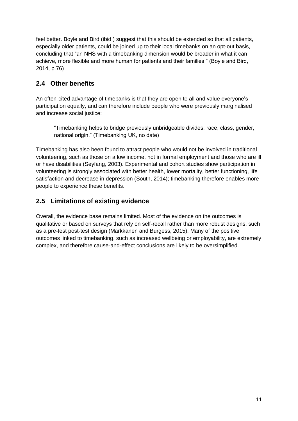feel better. Boyle and Bird (ibid.) suggest that this should be extended so that all patients, especially older patients, could be joined up to their local timebanks on an opt-out basis, concluding that "an NHS with a timebanking dimension would be broader in what it can achieve, more flexible and more human for patients and their families." (Boyle and Bird, 2014, p.76)

## <span id="page-10-0"></span>**2.4 Other benefits**

An often-cited advantage of timebanks is that they are open to all and value everyone's participation equally, and can therefore include people who were previously marginalised and increase social justice:

"Timebanking helps to bridge previously unbridgeable divides: race, class, gender, national origin." (Timebanking UK, no date)

Timebanking has also been found to attract people who would not be involved in traditional volunteering, such as those on a low income, not in formal employment and those who are ill or have disabilities (Seyfang, 2003). Experimental and cohort studies show participation in volunteering is strongly associated with better health, lower mortality, better functioning, life satisfaction and decrease in depression (South, 2014); timebanking therefore enables more people to experience these benefits.

## <span id="page-10-1"></span>**2.5 Limitations of existing evidence**

Overall, the evidence base remains limited. Most of the evidence on the outcomes is qualitative or based on surveys that rely on self-recall rather than more robust designs, such as a pre-test post-test design (Markkanen and Burgess, 2015). Many of the positive outcomes linked to timebanking, such as increased wellbeing or employability, are extremely complex, and therefore cause-and-effect conclusions are likely to be oversimplified.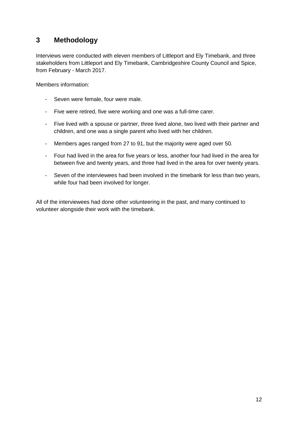## <span id="page-11-0"></span>**3 Methodology**

Interviews were conducted with eleven members of Littleport and Ely Timebank, and three stakeholders from Littleport and Ely Timebank, Cambridgeshire County Council and Spice, from February - March 2017.

Members information:

- Seven were female, four were male.
- Five were retired, five were working and one was a full-time carer.
- Five lived with a spouse or partner, three lived alone, two lived with their partner and children, and one was a single parent who lived with her children.
- Members ages ranged from 27 to 91, but the majority were aged over 50.
- Four had lived in the area for five years or less, another four had lived in the area for between five and twenty years, and three had lived in the area for over twenty years.
- Seven of the interviewees had been involved in the timebank for less than two years, while four had been involved for longer.

All of the interviewees had done other volunteering in the past, and many continued to volunteer alongside their work with the timebank.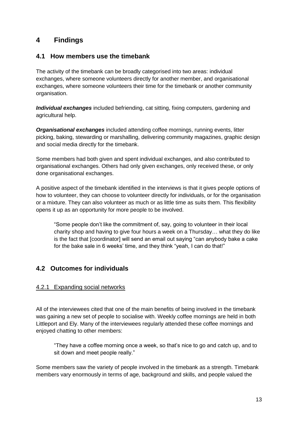## <span id="page-12-0"></span>**4 Findings**

### <span id="page-12-1"></span>**4.1 How members use the timebank**

The activity of the timebank can be broadly categorised into two areas: individual exchanges, where someone volunteers directly for another member, and organisational exchanges, where someone volunteers their time for the timebank or another community organisation.

*Individual exchanges* included befriending, cat sitting, fixing computers, gardening and agricultural help.

*Organisational exchanges* included attending coffee mornings, running events, litter picking, baking, stewarding or marshalling, delivering community magazines, graphic design and social media directly for the timebank.

Some members had both given and spent individual exchanges, and also contributed to organisational exchanges. Others had only given exchanges, only received these, or only done organisational exchanges.

A positive aspect of the timebank identified in the interviews is that it gives people options of how to volunteer, they can choose to volunteer directly for individuals, or for the organisation or a mixture. They can also volunteer as much or as little time as suits them. This flexibility opens it up as an opportunity for more people to be involved.

"Some people don't like the commitment of, say, going to volunteer in their local charity shop and having to give four hours a week on a Thursday… what they do like is the fact that [coordinator] will send an email out saying "can anybody bake a cake for the bake sale in 6 weeks' time, and they think "yeah, I can do that!"

### <span id="page-12-2"></span>**4.2 Outcomes for individuals**

#### 4.2.1 Expanding social networks

All of the interviewees cited that one of the main benefits of being involved in the timebank was gaining a new set of people to socialise with. Weekly coffee mornings are held in both Littleport and Ely. Many of the interviewees regularly attended these coffee mornings and enjoyed chatting to other members:

"They have a coffee morning once a week, so that's nice to go and catch up, and to sit down and meet people really."

Some members saw the variety of people involved in the timebank as a strength. Timebank members vary enormously in terms of age, background and skills, and people valued the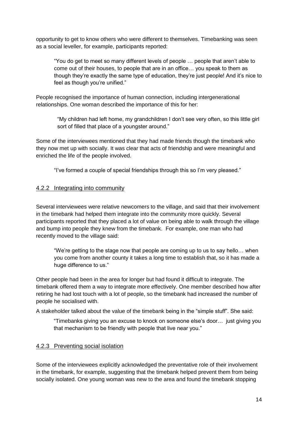opportunity to get to know others who were different to themselves. Timebanking was seen as a social leveller, for example, participants reported:

"You do get to meet so many different levels of people … people that aren't able to come out of their houses, to people that are in an office… you speak to them as though they're exactly the same type of education, they're just people! And it's nice to feel as though you're unified."

People recognised the importance of human connection, including intergenerational relationships. One woman described the importance of this for her:

> "My children had left home, my grandchildren I don't see very often, so this little girl sort of filled that place of a youngster around."

Some of the interviewees mentioned that they had made friends though the timebank who they now met up with socially. It was clear that acts of friendship and were meaningful and enriched the life of the people involved.

"I've formed a couple of special friendships through this so I'm very pleased."

#### 4.2.2 Integrating into community

Several interviewees were relative newcomers to the village, and said that their involvement in the timebank had helped them integrate into the community more quickly. Several participants reported that they placed a lot of value on being able to walk through the village and bump into people they knew from the timebank. For example, one man who had recently moved to the village said:

"We're getting to the stage now that people are coming up to us to say hello… when you come from another county it takes a long time to establish that, so it has made a huge difference to us."

Other people had been in the area for longer but had found it difficult to integrate. The timebank offered them a way to integrate more effectively. One member described how after retiring he had lost touch with a lot of people, so the timebank had increased the number of people he socialised with.

A stakeholder talked about the value of the timebank being in the "simple stuff". She said:

"Timebanks giving you an excuse to knock on someone else's door… just giving you that mechanism to be friendly with people that live near you."

#### 4.2.3 Preventing social isolation

Some of the interviewees explicitly acknowledged the preventative role of their involvement in the timebank, for example, suggesting that the timebank helped prevent them from being socially isolated. One young woman was new to the area and found the timebank stopping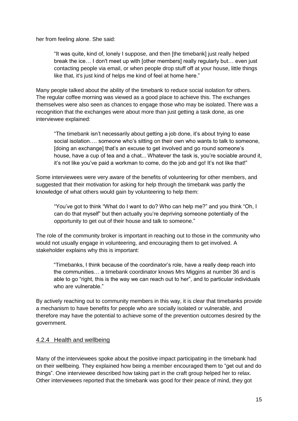her from feeling alone. She said:

"It was quite, kind of, lonely I suppose, and then [the timebank] just really helped break the ice… I don't meet up with [other members] really regularly but… even just contacting people via email, or when people drop stuff off at your house, little things like that, it's just kind of helps me kind of feel at home here."

Many people talked about the ability of the timebank to reduce social isolation for others. The regular coffee morning was viewed as a good place to achieve this. The exchanges themselves were also seen as chances to engage those who may be isolated. There was a recognition that the exchanges were about more than just getting a task done, as one interviewee explained:

"The timebank isn't necessarily about getting a job done, it's about trying to ease social isolation…. someone who's sitting on their own who wants to talk to someone, [doing an exchange] that's an excuse to get involved and go round someone's house, have a cup of tea and a chat... Whatever the task is, you're sociable around it, it's not like you've paid a workman to come, do the job and go! It's not like that!"

Some interviewees were very aware of the benefits of volunteering for other members, and suggested that their motivation for asking for help through the timebank was partly the knowledge of what others would gain by volunteering to help them:

"You've got to think "What do I want to do? Who can help me?" and you think "Oh, I can do that myself" but then actually you're depriving someone potentially of the opportunity to get out of their house and talk to someone."

The role of the community broker is important in reaching out to those in the community who would not usually engage in volunteering, and encouraging them to get involved. A stakeholder explains why this is important:

"Timebanks, I think because of the coordinator's role, have a really deep reach into the communities… a timebank coordinator knows Mrs Miggins at number 36 and is able to go "right, this is the way we can reach out to her", and to particular individuals who are vulnerable."

By actively reaching out to community members in this way, it is clear that timebanks provide a mechanism to have benefits for people who are socially isolated or vulnerable, and therefore may have the potential to achieve some of the prevention outcomes desired by the government.

#### 4.2.4 Health and wellbeing

Many of the interviewees spoke about the positive impact participating in the timebank had on their wellbeing. They explained how being a member encouraged them to "get out and do things". One interviewee described how taking part in the craft group helped her to relax. Other interviewees reported that the timebank was good for their peace of mind, they got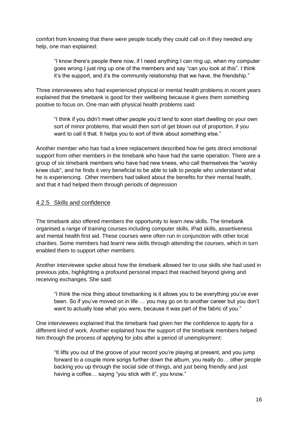comfort from knowing that there were people locally they could call on if they needed any help, one man explained:

"I know there's people there now, if I need anything I can ring up, when my computer goes wrong I just ring up one of the members and say "can you look at this". I think it's the support, and it's the community relationship that we have, the friendship."

Three interviewees who had experienced physical or mental health problems in recent years explained that the timebank is good for their wellbeing because it gives them something positive to focus on. One man with physical health problems said:

"I think if you didn't meet other people you'd tend to soon start dwelling on your own sort of minor problems, that would then sort of get blown out of proportion, if you want to call it that. It helps you to sort of think about something else."

Another member who has had a knee replacement described how he gets direct emotional support from other members in the timebank who have had the same operation. There are a group of six timebank members who have had new knees, who call themselves the "wonky knee club", and he finds it very beneficial to be able to talk to people who understand what he is experiencing. Other members had talked about the benefits for their mental health, and that it had helped them through periods of depression

#### 4.2.5 Skills and confidence

The timebank also offered members the opportunity to learn new skills. The timebank organised a range of training courses including computer skills, iPad skills, assertiveness and mental health first aid. These courses were often run in conjunction with other local charities. Some members had learnt new skills through attending the courses, which in turn enabled them to support other members.

Another interviewee spoke about how the timebank allowed her to use skills she had used in previous jobs, highlighting a profound personal impact that reached beyond giving and receiving exchanges. She said:

"I think the nice thing about timebanking is it allows you to be everything you've ever been. So if you've moved on in life … you may go on to another career but you don't want to actually lose what you were, because it was part of the fabric of you."

One interviewees explained that the timebank had given her the confidence to apply for a different kind of work. Another explained how the support of the timebank members helped him through the process of applying for jobs after a period of unemployment:

"It lifts you out of the groove of your record you're playing at present, and you jump forward to a couple more songs further down the album, you really do… other people backing you up through the social side of things, and just being friendly and just having a coffee... saying "you stick with it", you know."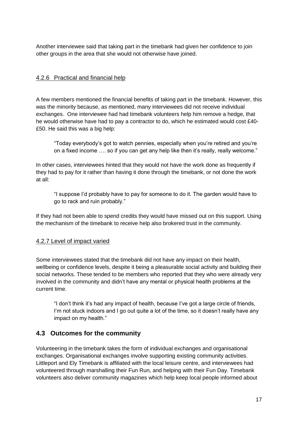Another interviewee said that taking part in the timebank had given her confidence to join other groups in the area that she would not otherwise have joined.

#### 4.2.6 Practical and financial help

A few members mentioned the financial benefits of taking part in the timebank. However, this was the minority because, as mentioned, many interviewees did not receive individual exchanges. One interviewee had had timebank volunteers help him remove a hedge, that he would otherwise have had to pay a contractor to do, which he estimated would cost £40- £50. He said this was a big help:

"Today everybody's got to watch pennies, especially when you're retired and you're on a fixed income …. so if you can get any help like then it's really, really welcome."

In other cases, interviewees hinted that they would not have the work done as frequently if they had to pay for it rather than having it done through the timebank, or not done the work at all:

"I suppose I'd probably have to pay for someone to do it. The garden would have to go to rack and ruin probably."

If they had not been able to spend credits they would have missed out on this support. Using the mechanism of the timebank to receive help also brokered trust in the community.

#### 4.2.7 Level of impact varied

Some interviewees stated that the timebank did not have any impact on their health, wellbeing or confidence levels, despite it being a pleasurable social activity and building their social networks. These tended to be members who reported that they who were already very involved in the community and didn't have any mental or physical health problems at the current time.

"I don't think it's had any impact of health, because I've got a large circle of friends, I'm not stuck indoors and I go out quite a lot of the time, so it doesn't really have any impact on my health."

### <span id="page-16-0"></span>**4.3 Outcomes for the community**

Volunteering in the timebank takes the form of individual exchanges and organisational exchanges. Organisational exchanges involve supporting existing community activities. Littleport and Ely Timebank is affiliated with the local leisure centre, and interviewees had volunteered through marshalling their Fun Run, and helping with their Fun Day. Timebank volunteers also deliver community magazines which help keep local people informed about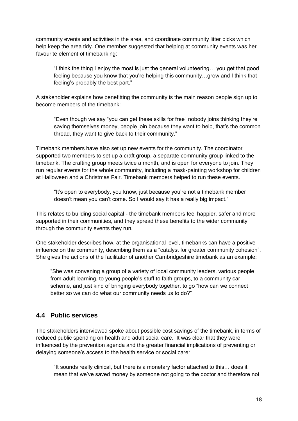community events and activities in the area, and coordinate community litter picks which help keep the area tidy. One member suggested that helping at community events was her favourite element of timebanking:

"I think the thing I enjoy the most is just the general volunteering… you get that good feeling because you know that you're helping this community…grow and I think that feeling's probably the best part."

A stakeholder explains how benefitting the community is the main reason people sign up to become members of the timebank:

"Even though we say "you can get these skills for free" nobody joins thinking they're saving themselves money, people join because they want to help, that's the common thread, they want to give back to their community."

Timebank members have also set up new events for the community. The coordinator supported two members to set up a craft group, a separate community group linked to the timebank. The crafting group meets twice a month, and is open for everyone to join. They run regular events for the whole community, including a mask-painting workshop for children at Halloween and a Christmas Fair. Timebank members helped to run these events.

"It's open to everybody, you know, just because you're not a timebank member doesn't mean you can't come. So I would say it has a really big impact."

This relates to building social capital - the timebank members feel happier, safer and more supported in their communities, and they spread these benefits to the wider community through the community events they run.

One stakeholder describes how, at the organisational level, timebanks can have a positive influence on the community, describing them as a "catalyst for greater community cohesion". She gives the actions of the facilitator of another Cambridgeshire timebank as an example:

"She was convening a group of a variety of local community leaders, various people from adult learning, to young people's stuff to faith groups, to a community car scheme, and just kind of bringing everybody together, to go "how can we connect better so we can do what our community needs us to do?"

### <span id="page-17-0"></span>**4.4 Public services**

The stakeholders interviewed spoke about possible cost savings of the timebank, in terms of reduced public spending on health and adult social care. It was clear that they were influenced by the prevention agenda and the greater financial implications of preventing or delaying someone's access to the health service or social care:

"It sounds really clinical, but there is a monetary factor attached to this… does it mean that we've saved money by someone not going to the doctor and therefore not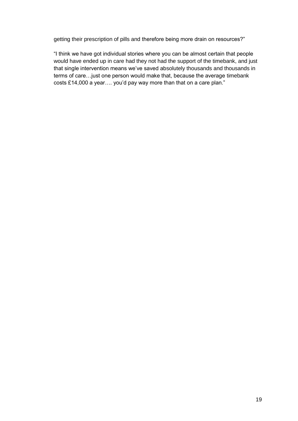getting their prescription of pills and therefore being more drain on resources?"

"I think we have got individual stories where you can be almost certain that people would have ended up in care had they not had the support of the timebank, and just that single intervention means we've saved absolutely thousands and thousands in terms of care…just one person would make that, because the average timebank costs £14,000 a year…. you'd pay way more than that on a care plan."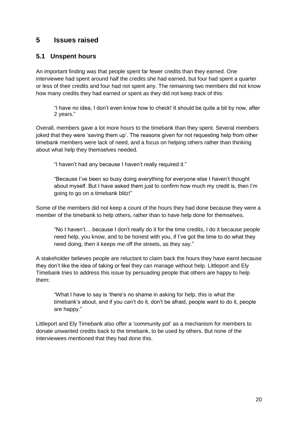## <span id="page-19-0"></span>**5 Issues raised**

## <span id="page-19-1"></span>**5.1 Unspent hours**

An important finding was that people spent far fewer credits than they earned. One interviewee had spent around half the credits she had earned, but four had spent a quarter or less of their credits and four had not spent any. The remaining two members did not know how many credits they had earned or spent as they did not keep track of this:

"I have no idea, I don't even know how to check! It should be quite a bit by now, after 2 years."

Overall, members gave a lot more hours to the timebank than they spent. Several members joked that they were 'saving them up'. The reasons given for not requesting help from other timebank members were lack of need, and a focus on helping others rather than thinking about what help they themselves needed.

"I haven't had any because I haven't really required it."

"Because I've been so busy doing everything for everyone else I haven't thought about myself. But I have asked them just to confirm how much my credit is, then I'm going to go on a timebank blitz!"

Some of the members did not keep a count of the hours they had done because they were a member of the timebank to help others, rather than to have help done for themselves.

"No I haven't… because I don't really do it for the time credits, I do it because people need help, you know, and to be honest with you, if I've got the time to do what they need doing, then it keeps me off the streets, as they say."

A stakeholder believes people are reluctant to claim back the hours they have earnt because they don't like the idea of taking or feel they can manage without help. Littleport and Ely Timebank tries to address this issue by persuading people that others are happy to help them:

*"*What I have to say is 'there's no shame in asking for help, this is what the timebank's about, and if you can't do it, don't be afraid, people want to do it, people are happy."

Littleport and Ely Timebank also offer a 'community pot' as a mechanism for members to donate unwanted credits back to the timebank, to be used by others. But none of the interviewees mentioned that they had done this.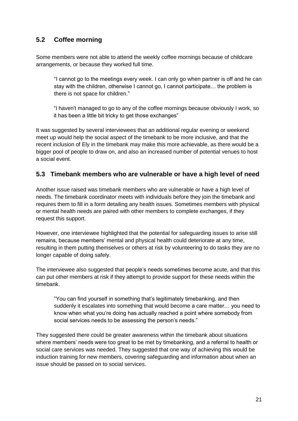## <span id="page-20-0"></span>**5.2 Coffee morning**

Some members were not able to attend the weekly coffee mornings because of childcare arrangements, or because they worked full time.

"I cannot go to the meetings every week. I can only go when partner is off and he can stay with the children, otherwise I cannot go, I cannot participate… the problem is there is not space for children."

"I haven't managed to go to any of the coffee mornings because obviously I work, so it has been a little bit tricky to get those exchanges"

It was suggested by several interviewees that an additional regular evening or weekend meet up would help the social aspect of the timebank to be more inclusive, and that the recent inclusion of Ely in the timebank may make this more achievable, as there would be a bigger pool of people to draw on, and also an increased number of potential venues to host a social event.

#### <span id="page-20-1"></span>**5.3 Timebank members who are vulnerable or have a high level of need**

Another issue raised was timebank members who are vulnerable or have a high level of needs. The timebank coordinator meets with individuals before they join the timebank and requires them to fill in a form detailing any health issues. Sometimes members with physical or mental health needs are paired with other members to complete exchanges, if they request this support.

However, one interviewee highlighted that the potential for safeguarding issues to arise still remains, because members' mental and physical health could deteriorate at any time, resulting in them putting themselves or others at risk by volunteering to do tasks they are no longer capable of doing safely.

The interviewee also suggested that people's needs sometimes become acute, and that this can put other members at risk if they attempt to provide support for these needs within the timebank.

"You can find yourself in something that's legitimately timebanking, and then suddenly it escalates into something that would become a care matter… you need to know when what you're doing has actually reached a point where somebody from social services needs to be assessing the person's needs."

They suggested there could be greater awareness within the timebank about situations where members' needs were too great to be met by timebanking, and a referral to health or social care services was needed. They suggested that one way of achieving this would be induction training for new members, covering safeguarding and information about when an issue should be passed on to social services.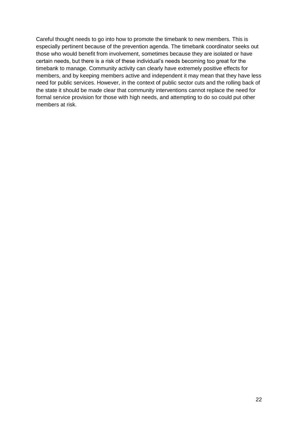<span id="page-21-0"></span>Careful thought needs to go into how to promote the timebank to new members. This is especially pertinent because of the prevention agenda. The timebank coordinator seeks out those who would benefit from involvement, sometimes because they are isolated or have certain needs, but there is a risk of these individual's needs becoming too great for the timebank to manage. Community activity can clearly have extremely positive effects for members, and by keeping members active and independent it may mean that they have less need for public services. However, in the context of public sector cuts and the rolling back of the state it should be made clear that community interventions cannot replace the need for formal service provision for those with high needs, and attempting to do so could put other members at risk.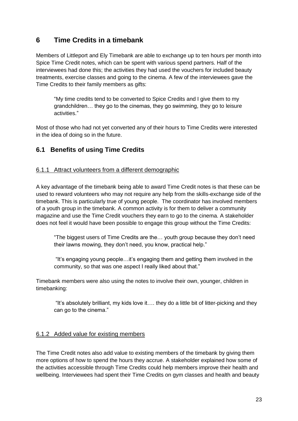## **6 Time Credits in a timebank**

Members of Littleport and Ely Timebank are able to exchange up to ten hours per month into Spice Time Credit notes, which can be spent with various spend partners. Half of the interviewees had done this; the activities they had used the vouchers for included beauty treatments, exercise classes and going to the cinema. A few of the interviewees gave the Time Credits to their family members as gifts:

"My time credits tend to be converted to Spice Credits and I give them to my grandchildren… they go to the cinemas, they go swimming, they go to leisure activities."

Most of those who had not yet converted any of their hours to Time Credits were interested in the idea of doing so in the future.

### <span id="page-22-0"></span>**6.1 Benefits of using Time Credits**

#### 6.1.1 Attract volunteers from a different demographic

A key advantage of the timebank being able to award Time Credit notes is that these can be used to reward volunteers who may not require any help from the skills-exchange side of the timebank. This is particularly true of young people. The coordinator has involved members of a youth group in the timebank. A common activity is for them to deliver a community magazine and use the Time Credit vouchers they earn to go to the cinema. A stakeholder does not feel it would have been possible to engage this group without the Time Credits:

"The biggest users of Time Credits are the… youth group because they don't need their lawns mowing, they don't need, you know, practical help."

"It's engaging young people…it's engaging them and getting them involved in the community, so that was one aspect I really liked about that."

Timebank members were also using the notes to involve their own, younger, children in timebanking:

"It's absolutely brilliant, my kids love it…. they do a little bit of litter-picking and they can go to the cinema."

#### 6.1.2 Added value for existing members

The Time Credit notes also add value to existing members of the timebank by giving them more options of how to spend the hours they accrue. A stakeholder explained how some of the activities accessible through Time Credits could help members improve their health and wellbeing. Interviewees had spent their Time Credits on gym classes and health and beauty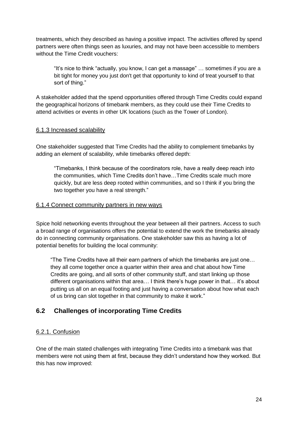treatments, which they described as having a positive impact. The activities offered by spend partners were often things seen as luxuries, and may not have been accessible to members without the Time Credit vouchers:

"It's nice to think "actually, you know, I can get a massage" … sometimes if you are a bit tight for money you just don't get that opportunity to kind of treat yourself to that sort of thing."

A stakeholder added that the spend opportunities offered through Time Credits could expand the geographical horizons of timebank members, as they could use their Time Credits to attend activities or events in other UK locations (such as the Tower of London).

#### 6.1.3 Increased scalability

One stakeholder suggested that Time Credits had the ability to complement timebanks by adding an element of scalability, while timebanks offered depth:

"Timebanks, I think because of the coordinators role, have a really deep reach into the communities, which Time Credits don't have…Time Credits scale much more quickly, but are less deep rooted within communities, and so I think if you bring the two together you have a real strength."

#### 6.1.4 Connect community partners in new ways

Spice hold networking events throughout the year between all their partners. Access to such a broad range of organisations offers the potential to extend the work the timebanks already do in connecting community organisations. One stakeholder saw this as having a lot of potential benefits for building the local community:

"The Time Credits have all their earn partners of which the timebanks are just one… they all come together once a quarter within their area and chat about how Time Credits are going, and all sorts of other community stuff, and start linking up those different organisations within that area… I think there's huge power in that… it's about putting us all on an equal footing and just having a conversation about how what each of us bring can slot together in that community to make it work."

### <span id="page-23-0"></span>**6.2 Challenges of incorporating Time Credits**

#### 6.2.1. Confusion

One of the main stated challenges with integrating Time Credits into a timebank was that members were not using them at first, because they didn't understand how they worked. But this has now improved: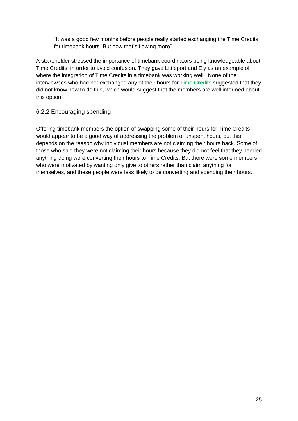"It was a good few months before people really started exchanging the Time Credits for timebank hours. But now that's flowing more"

A stakeholder stressed the importance of timebank coordinators being knowledgeable about Time Credits, in order to avoid confusion. They gave Littleport and Ely as an example of where the integration of Time Credits in a timebank was working well. None of the interviewees who had not exchanged any of their hours for Time Credits suggested that they did not know how to do this, which would suggest that the members are well informed about this option.

#### 6.2.2 Encouraging spending

Offering timebank members the option of swapping some of their hours for Time Credits would appear to be a good way of addressing the problem of unspent hours, but this depends on the reason why individual members are not claiming their hours back. Some of those who said they were not claiming their hours because they did not feel that they needed anything doing were converting their hours to Time Credits. But there were some members who were motivated by wanting only give to others rather than claim anything for themselves, and these people were less likely to be converting and spending their hours.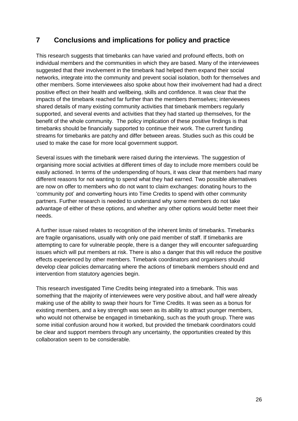## <span id="page-25-0"></span>**7 Conclusions and implications for policy and practice**

This research suggests that timebanks can have varied and profound effects, both on individual members and the communities in which they are based. Many of the interviewees suggested that their involvement in the timebank had helped them expand their social networks, integrate into the community and prevent social isolation, both for themselves and other members. Some interviewees also spoke about how their involvement had had a direct positive effect on their health and wellbeing, skills and confidence. It was clear that the impacts of the timebank reached far further than the members themselves; interviewees shared details of many existing community activities that timebank members regularly supported, and several events and activities that they had started up themselves, for the benefit of the whole community. The policy implication of these positive findings is that timebanks should be financially supported to continue their work. The current funding streams for timebanks are patchy and differ between areas. Studies such as this could be used to make the case for more local government support.

Several issues with the timebank were raised during the interviews. The suggestion of organising more social activities at different times of day to include more members could be easily actioned. In terms of the underspending of hours, it was clear that members had many different reasons for not wanting to spend what they had earned. Two possible alternatives are now on offer to members who do not want to claim exchanges: donating hours to the 'community pot' and converting hours into Time Credits to spend with other community partners. Further research is needed to understand why some members do not take advantage of either of these options, and whether any other options would better meet their needs.

A further issue raised relates to recognition of the inherent limits of timebanks. Timebanks are fragile organisations, usually with only one paid member of staff. If timebanks are attempting to care for vulnerable people, there is a danger they will encounter safeguarding issues which will put members at risk. There is also a danger that this will reduce the positive effects experienced by other members. Timebank coordinators and organisers should develop clear policies demarcating where the actions of timebank members should end and intervention from statutory agencies begin.

This research investigated Time Credits being integrated into a timebank. This was something that the majority of interviewees were very positive about, and half were already making use of the ability to swap their hours for Time Credits. It was seen as a bonus for existing members, and a key strength was seen as its ability to attract younger members, who would not otherwise be engaged in timebanking, such as the youth group. There was some initial confusion around how it worked, but provided the timebank coordinators could be clear and support members through any uncertainty, the opportunities created by this collaboration seem to be considerable.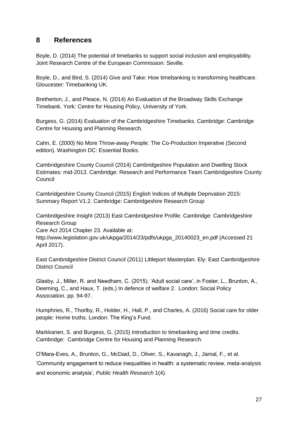### <span id="page-26-0"></span>**8 References**

Boyle, D. (2014) The potential of timebanks to support social inclusion and employability. Joint Research Centre of the European Commission: Seville.

Boyle, D., and Bird, S. (2014) Give and Take: How timebanking is transforming healthcare. Gloucester: Timebanking UK.

Bretherton, J., and Pleace, N. (2014) An Evaluation of the Broadway Skills Exchange Timebank. York: Centre for Housing Policy, University of York.

Burgess, G. (2014) Evaluation of the Cambridgeshire Timebanks. Cambridge: Cambridge Centre for Housing and Planning Research.

Cahn, E. (2000) No More Throw-away People: The Co-Production Imperative (Second edition). Washington DC: Essential Books.

Cambridgeshire County Council (2014) Cambridgeshire Population and Dwelling Stock Estimates: mid-2013. Cambridge: Research and Performance Team Cambridgeshire County **Council** 

Cambridgeshire County Council (2015) English Indices of Multiple Deprivation 2015: Summary Report V1.2. Cambridge: Cambridgeshire Research Group

Cambridgeshire Insight (2013) East Cambridgeshire Profile. Cambridge: Cambridgeshire Research Group

Care Act 2014 Chapter 23. Available at:

http://www.legislation.gov.uk/ukpga/2014/23/pdfs/ukpga\_20140023\_en.pdf (Accessed 21 April 2017).

East Cambridgeshire District Council (2011) Littleport Masterplan. Ely: East Cambridgeshire District Council

Glasby, J., Miller, R. and Needham, C. (2015). 'Adult social care', in Foster, L., Brunton, A., Deeming, C., and Haux, T. (eds.) In defence of welfare 2. London: Social Policy Association. pp. 94-97.

Humphries, R., Thorlby, R., Holder, H., Hall, P., and Charles, A. (2016) Social care for older people: Home truths. London: The King's Fund.

Markkanen, S. and Burgess, G. (2015) Introduction to timebanking and time credits. Cambridge: Cambridge Centre for Housing and Planning Research.

O'Mara-Eves, A., Brunton, G., McDaid, D., Oliver, S., Kavanagh, J., Jamal, F., et al.

'Community engagement to reduce inequalities in health: a systematic review, meta-analysis and economic analysis', *Public Health Research* 1(4).